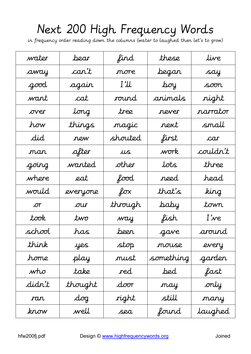## Next 200 High Frequency Words

in frequency order reading down the columns (water to laughed then let's to grow)

| water    | bear        | find    | these     | live     |
|----------|-------------|---------|-----------|----------|
| away     | can't       | more    | began     | say      |
| good     | again       | I'll    | boy       | soon     |
| want     | cat         | round   | animals   | right    |
| over     | long        | tree    | never     | narrator |
| how      | things      | magic   | next      | small    |
| did      | new         | shouted | first     | car      |
| man      | after       | $\mu s$ | work      | couldn't |
| going    | wanted.     | other   | lots      | three    |
| where    | eat         | food    | reed      | head     |
| would    | everyone    | $f$ ox  | that's    | king     |
| $\sigma$ | $\sigma$ ur | through | baby      | town     |
| took     | two         | way     | fish      | I've     |
| school   | has         | been    | gave      | around   |
| think    | yes         | stop    | mouse     | every    |
| home     | play        | must    | something | garden   |
| who      | take        | red     | bed       | fast     |
| didn't   | thought     | door    | may       | only     |
| ran      | $d$ og      | right   | still     | many     |
| know     | well        | sea     | found     | laughed  |